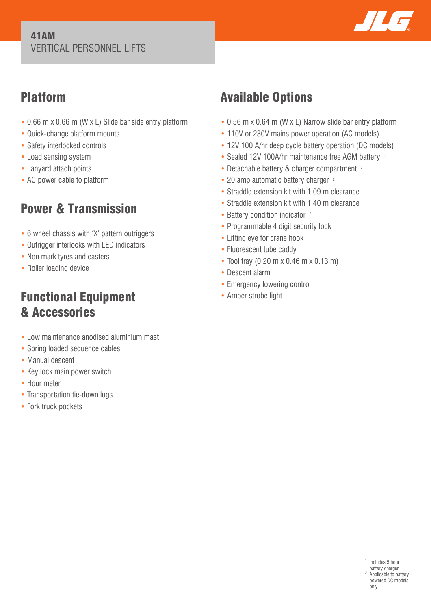### 41AM VERTICAL PERSONNEL LIFTS



## Platform

- 0.66 m x 0.66 m (W x L) Slide bar side entry platform
- Quick-change platform mounts
- Safety interlocked controls
- Load sensing system
- Lanyard attach points
- AC power cable to platform

# Power & Transmission

- 6 wheel chassis with 'X' pattern outriggers
- Outrigger interlocks with LED indicators
- Non mark tyres and casters
- Roller loading device

## Functional Equipment & Accessories

- Low maintenance anodised aluminium mast
- Spring loaded sequence cables
- Manual descent
- Key lock main power switch
- Hour meter
- Transportation tie-down lugs
- Fork truck pockets

# Available Options

- 0.56 m x 0.64 m (W x L) Narrow slide bar entry platform
- 110V or 230V mains power operation (AC models)
- 12V 100 A/hr deep cycle battery operation (DC models)
- Sealed 12V 100A/hr maintenance free AGM battery 1
- Detachable battery & charger compartment <sup>2</sup>
- 20 amp automatic battery charger <sup>2</sup>
- Straddle extension kit with 1.09 m clearance
- Straddle extension kit with 1.40 m clearance
- Battery condition indicator <sup>2</sup>
- Programmable 4 digit security lock
- Lifting eye for crane hook
- Fluorescent tube caddy
- Tool tray (0.20 m x 0.46 m x 0.13 m)
- Descent alarm
- Emergency lowering control
- Amber strobe light

<sup>1</sup> Includes 5 hour battery charger <sup>2</sup> Applicable to battery powered DC models only